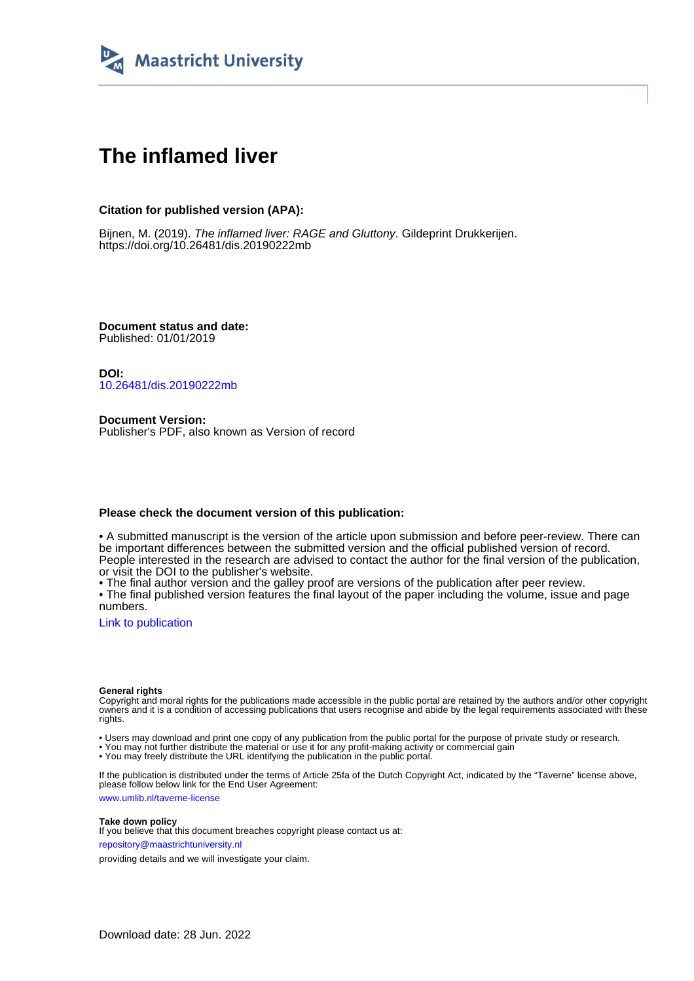

# **The inflamed liver**

### **Citation for published version (APA):**

Bijnen, M. (2019). The inflamed liver: RAGE and Gluttony. Gildeprint Drukkerijen. <https://doi.org/10.26481/dis.20190222mb>

**Document status and date:** Published: 01/01/2019

**DOI:** [10.26481/dis.20190222mb](https://doi.org/10.26481/dis.20190222mb)

**Document Version:** Publisher's PDF, also known as Version of record

#### **Please check the document version of this publication:**

• A submitted manuscript is the version of the article upon submission and before peer-review. There can be important differences between the submitted version and the official published version of record. People interested in the research are advised to contact the author for the final version of the publication, or visit the DOI to the publisher's website.

• The final author version and the galley proof are versions of the publication after peer review.

• The final published version features the final layout of the paper including the volume, issue and page numbers.

[Link to publication](https://cris.maastrichtuniversity.nl/en/publications/acbe3669-6a50-4351-bf16-773c44d1d050)

#### **General rights**

Copyright and moral rights for the publications made accessible in the public portal are retained by the authors and/or other copyright owners and it is a condition of accessing publications that users recognise and abide by the legal requirements associated with these rights.

• Users may download and print one copy of any publication from the public portal for the purpose of private study or research.

• You may not further distribute the material or use it for any profit-making activity or commercial gain

• You may freely distribute the URL identifying the publication in the public portal.

If the publication is distributed under the terms of Article 25fa of the Dutch Copyright Act, indicated by the "Taverne" license above, please follow below link for the End User Agreement:

www.umlib.nl/taverne-license

#### **Take down policy**

If you believe that this document breaches copyright please contact us at: repository@maastrichtuniversity.nl

providing details and we will investigate your claim.